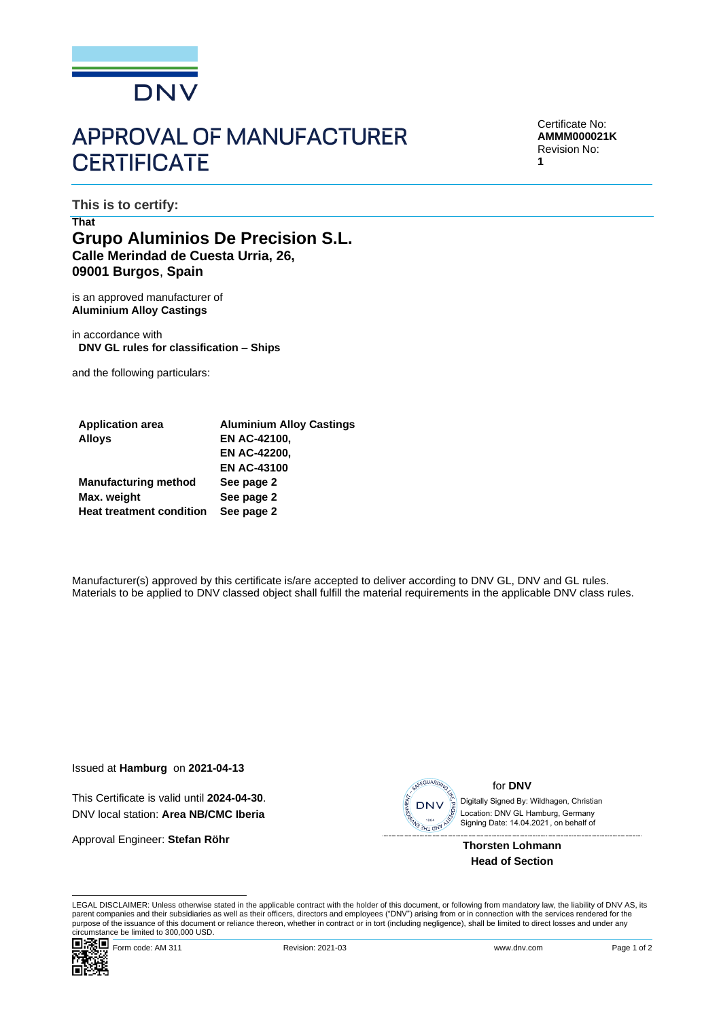

## **APPROVAL OF MANUFACTURER CERTIFICATE**

Certificate No: **AMMM000021K** Revision No: **1**

**This is to certify:**

## **That Grupo Aluminios De Precision S.L. Calle Merindad de Cuesta Urria, 26, 09001 Burgos**, **Spain**

is an approved manufacturer of **Aluminium Alloy Castings**

in accordance with **DNV GL rules for classification – Ships**

and the following particulars:

| <b>Application area</b>         | <b>Aluminium Alloy Castings</b> |
|---------------------------------|---------------------------------|
| <b>Alloys</b>                   | <b>EN AC-42100,</b>             |
|                                 | <b>EN AC-42200,</b>             |
|                                 | <b>EN AC-43100</b>              |
| <b>Manufacturing method</b>     | See page 2                      |
| Max. weight                     | See page 2                      |
| <b>Heat treatment condition</b> | See page 2                      |

Manufacturer(s) approved by this certificate is/are accepted to deliver according to DNV GL, DNV and GL rules. Materials to be applied to DNV classed object shall fulfill the material requirements in the applicable DNV class rules.

Issued at **Hamburg** on **2021-04-13**

This Certificate is valid until **2024-04-30**. DNV local station: **Area NB/CMC Iberia**

Approval Engineer: **Stefan Röhr**



for **DNV**

 Signing Date: 14.04.2021 , on behalf ofDigitally Signed By: Wildhagen, Christian Location: DNV GL Hamburg, Germany

**Thorsten Lohmann Head of Section**

LEGAL DISCLAIMER: Unless otherwise stated in the applicable contract with the holder of this document, or following from mandatory law, the liability of DNV AS, its parent companies and their subsidiaries as well as their officers, directors and employees ("DNV") arising from or in connection with the services rendered for the purpose of the issuance of this document or reliance thereon, whether in contract or in tort (including negligence), shall be limited to direct losses and under any circumstance be limited to 300,000 USD.